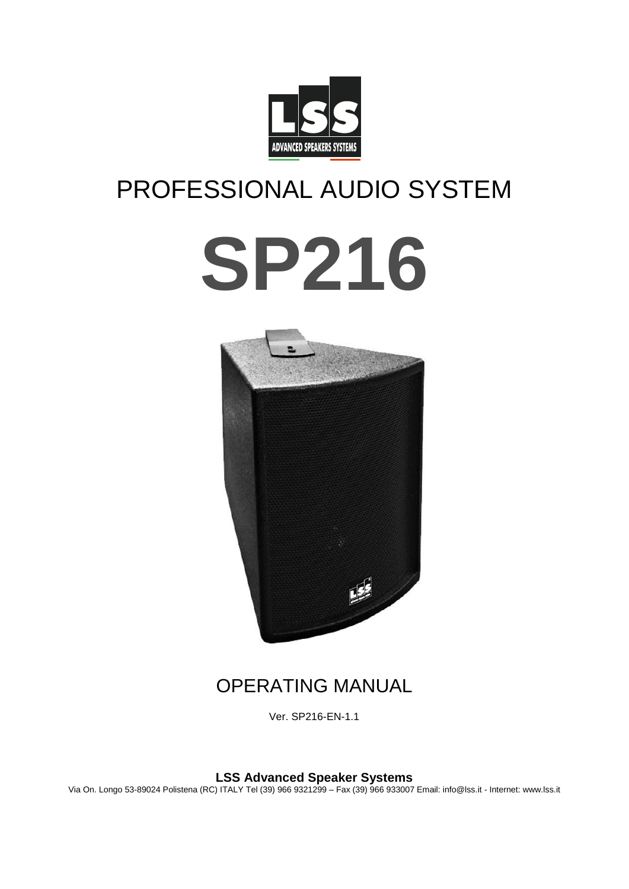

# PROFESSIONAL AUDIO SYSTEM





# OPERATING MANUAL

Ver. SP216-EN-1.1

**LSS Advanced Speaker Systems**

Via On. Longo 53-89024 Polistena (RC) ITALY Tel (39) 966 9321299 – Fax (39) 966 933007 Email: info@lss.it - Internet: www.lss.it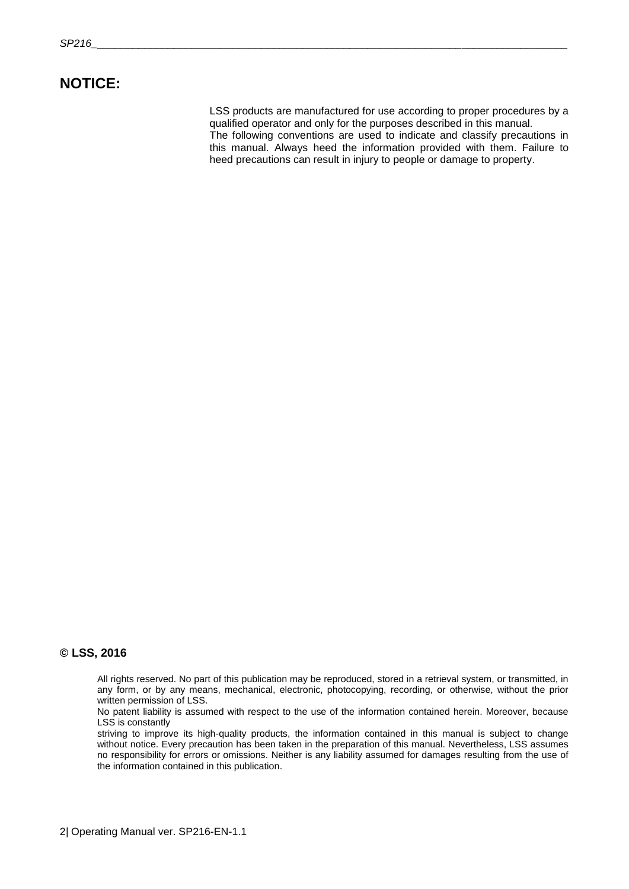### **NOTICE:**

LSS products are manufactured for use according to proper procedures by a qualified operator and only for the purposes described in this manual. The following conventions are used to indicate and classify precautions in this manual. Always heed the information provided with them. Failure to heed precautions can result in injury to people or damage to property.

### **© LSS, 2016**

All rights reserved. No part of this publication may be reproduced, stored in a retrieval system, or transmitted, in any form, or by any means, mechanical, electronic, photocopying, recording, or otherwise, without the prior written permission of LSS.

No patent liability is assumed with respect to the use of the information contained herein. Moreover, because LSS is constantly

striving to improve its high-quality products, the information contained in this manual is subject to change without notice. Every precaution has been taken in the preparation of this manual. Nevertheless, LSS assumes no responsibility for errors or omissions. Neither is any liability assumed for damages resulting from the use of the information contained in this publication.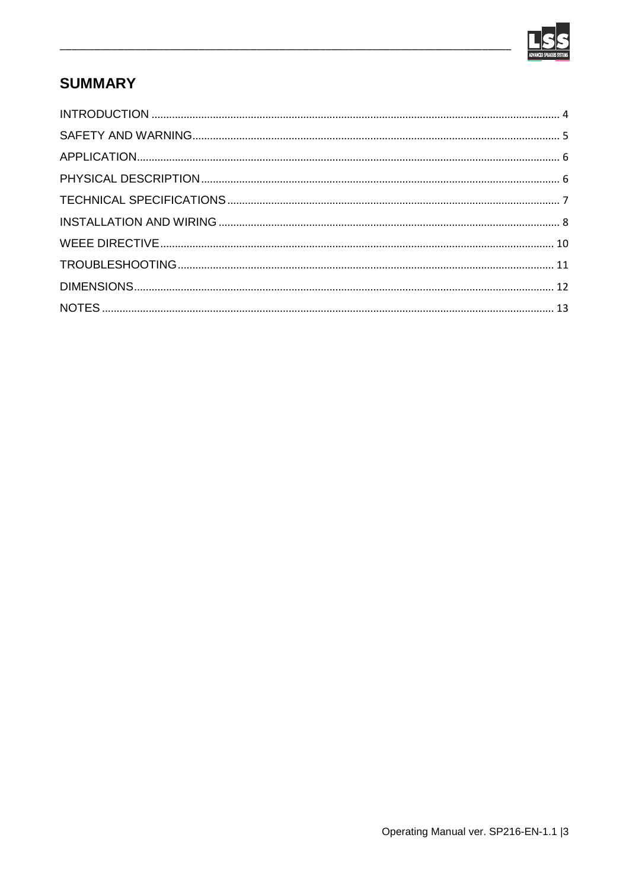

# **SUMMARY**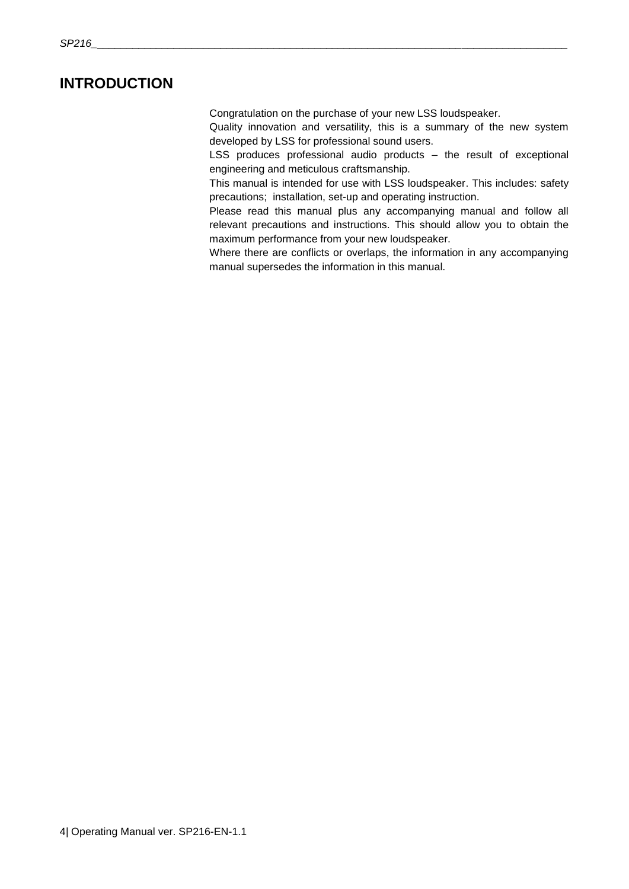### <span id="page-3-0"></span>**INTRODUCTION**

Congratulation on the purchase of your new LSS loudspeaker.

Quality innovation and versatility, this is a summary of the new system developed by LSS for professional sound users.

LSS produces professional audio products – the result of exceptional engineering and meticulous craftsmanship.

This manual is intended for use with LSS loudspeaker. This includes: safety precautions; installation, set-up and operating instruction.

Please read this manual plus any accompanying manual and follow all relevant precautions and instructions. This should allow you to obtain the maximum performance from your new loudspeaker.

Where there are conflicts or overlaps, the information in any accompanying manual supersedes the information in this manual.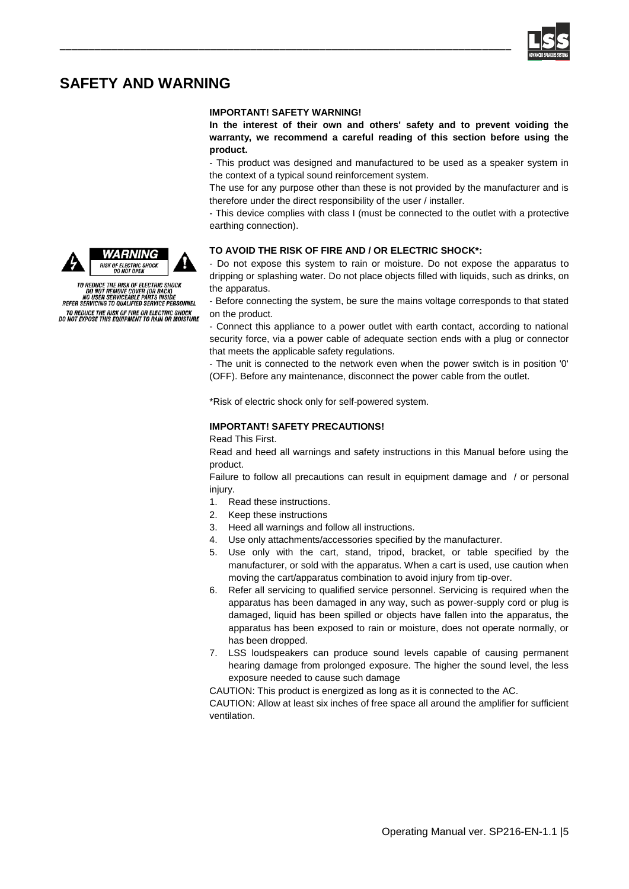

### <span id="page-4-0"></span>**SAFETY AND WARNING**

#### **IMPORTANT! SAFETY WARNING!**

\_\_\_\_\_\_\_\_\_\_\_\_\_\_\_\_\_\_\_\_\_\_\_\_\_\_\_\_\_\_\_\_\_\_\_\_\_\_\_\_\_\_\_\_\_\_\_\_\_\_\_\_\_\_\_\_\_\_\_\_\_\_\_\_\_\_\_\_\_\_\_\_\_\_\_\_\_\_

**In the interest of their own and others' safety and to prevent voiding the warranty, we recommend a careful reading of this section before using the product.**

- This product was designed and manufactured to be used as a speaker system in the context of a typical sound reinforcement system.

The use for any purpose other than these is not provided by the manufacturer and is therefore under the direct responsibility of the user / installer.

- This device complies with class I (must be connected to the outlet with a protective earthing connection).

#### **TO AVOID THE RISK OF FIRE AND / OR ELECTRIC SHOCK\*:**

- Do not expose this system to rain or moisture. Do not expose the apparatus to dripping or splashing water. Do not place objects filled with liquids, such as drinks, on the apparatus.

- Before connecting the system, be sure the mains voltage corresponds to that stated on the product.

- Connect this appliance to a power outlet with earth contact, according to national security force, via a power cable of adequate section ends with a plug or connector that meets the applicable safety regulations.

- The unit is connected to the network even when the power switch is in position '0' (OFF). Before any maintenance, disconnect the power cable from the outlet.

\*Risk of electric shock only for self-powered system.

#### **IMPORTANT! SAFETY PRECAUTIONS!**

Read This First.

Read and heed all warnings and safety instructions in this Manual before using the product.

Failure to follow all precautions can result in equipment damage and / or personal injury.

- 1. Read these instructions.
- 2. Keep these instructions
- 3. Heed all warnings and follow all instructions.
- 4. Use only attachments/accessories specified by the manufacturer.
- 5. Use only with the cart, stand, tripod, bracket, or table specified by the manufacturer, or sold with the apparatus. When a cart is used, use caution when moving the cart/apparatus combination to avoid injury from tip-over.
- 6. Refer all servicing to qualified service personnel. Servicing is required when the apparatus has been damaged in any way, such as power-supply cord or plug is damaged, liquid has been spilled or objects have fallen into the apparatus, the apparatus has been exposed to rain or moisture, does not operate normally, or has been dropped.
- 7. LSS loudspeakers can produce sound levels capable of causing permanent hearing damage from prolonged exposure. The higher the sound level, the less exposure needed to cause such damage

CAUTION: This product is energized as long as it is connected to the AC.

CAUTION: Allow at least six inches of free space all around the amplifier for sufficient ventilation.





TO REDUCE THE RISK OF ELECTRIC SHOCK<br>DO NOT REMOVE COVER (OR BACK)<br>NO USER SERVICEABLE PARTS INSIDE<br>REFER SERVICING TO QUALIFIED SERVICE PERSONNEL

TO REDUCE THE RISK OF FIRE OR ELECTRIC SHOCK<br>DO NOT EXPOSE THIS EQUIPMENT TO RAIN OR MOISTURE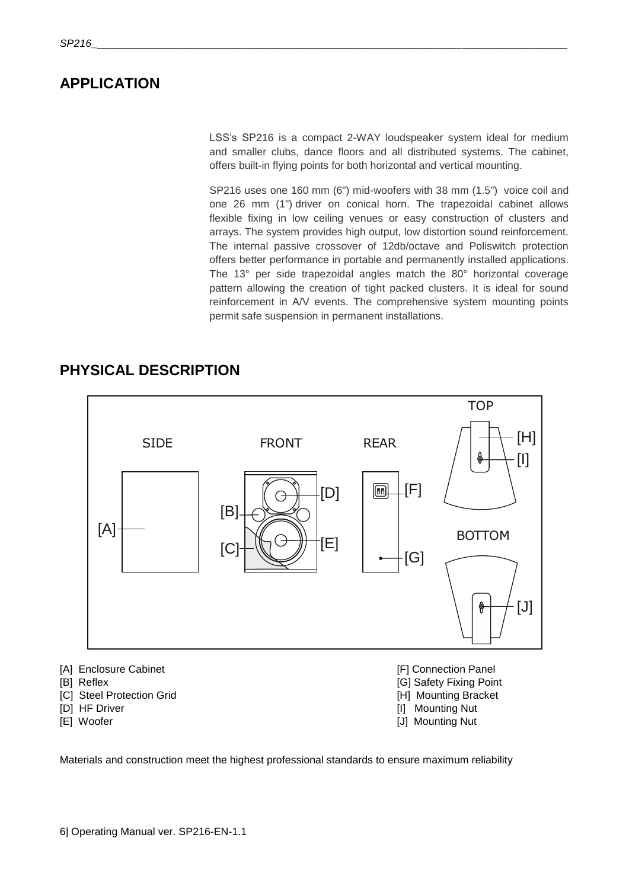### <span id="page-5-0"></span>**APPLICATION**

LSS's SP216 is a compact 2-WAY loudspeaker system ideal for medium and smaller clubs, dance floors and all distributed systems. The cabinet, offers built-in flying points for both horizontal and vertical mounting.

SP216 uses one 160 mm (6") mid-woofers with 38 mm (1.5") voice coil and one 26 mm (1") driver on conical horn. The trapezoidal cabinet allows flexible fixing in low ceiling venues or easy construction of clusters and arrays. The system provides high output, low distortion sound reinforcement. The internal passive crossover of 12db/octave and Poliswitch protection offers better performance in portable and permanently installed applications. The 13° per side trapezoidal angles match the 80° horizontal coverage pattern allowing the creation of tight packed clusters. It is ideal for sound reinforcement in A/V events. The comprehensive system mounting points permit safe suspension in permanent installations.

**TOP** [H] SIDE FRONT REAR [I] 圃 [F] [D] [B]  $[A]$ BOTTOM [E] [C] [G]  $[J]$ ဧို [A] Enclosure Cabinet **[F]** Connection Panel [B] Reflex [G] Safety Fixing Point

### <span id="page-5-1"></span>**PHYSICAL DESCRIPTION**

- 
- 
- [C] Steel Protection Grid **and Contact Contact Contact Contact Contact Contact Contact Contact Contact Contact Contact Contact Contact Contact Contact Contact Contact Contact Contact Contact Contact Contact Contact Contact**
- [D] HF Driver [I] Mounting Nut
- [E] Woofer [J] Mounting Nut
- 
- -

Materials and construction meet the highest professional standards to ensure maximum reliability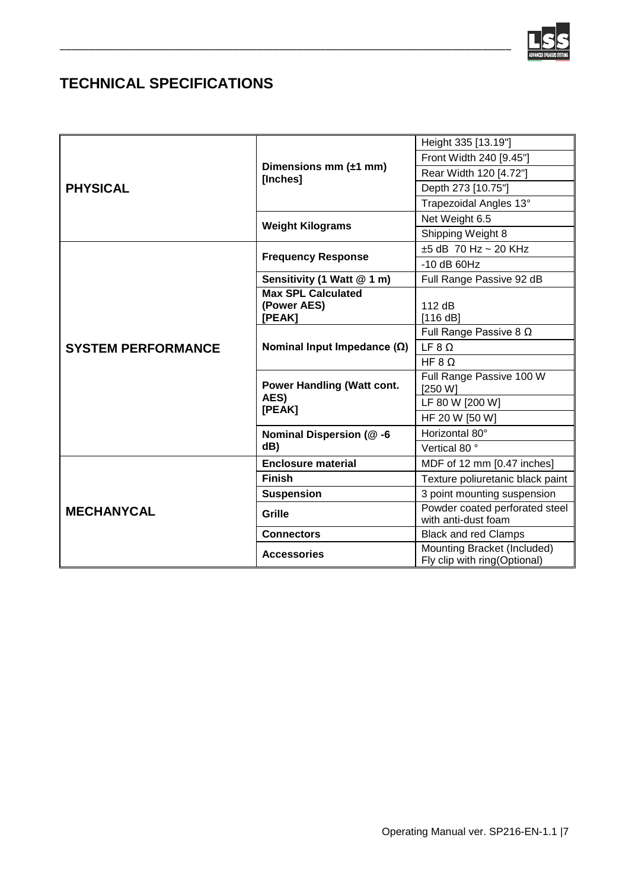

# <span id="page-6-0"></span>**TECHNICAL SPECIFICATIONS**

| <b>PHYSICAL</b>           | Dimensions mm $(\pm 1$ mm)<br>[Inches]       | Height 335 [13.19"]                                         |
|---------------------------|----------------------------------------------|-------------------------------------------------------------|
|                           |                                              | Front Width 240 [9.45"]                                     |
|                           |                                              | Rear Width 120 [4.72"]                                      |
|                           |                                              | Depth 273 [10.75"]                                          |
|                           |                                              | Trapezoidal Angles 13°                                      |
|                           | <b>Weight Kilograms</b>                      | Net Weight 6.5                                              |
|                           |                                              | Shipping Weight 8                                           |
| <b>SYSTEM PERFORMANCE</b> | <b>Frequency Response</b>                    | $±5$ dB 70 Hz ~ 20 KHz                                      |
|                           |                                              | $-10$ dB 60Hz                                               |
|                           | Sensitivity (1 Watt @ 1 m)                   | Full Range Passive 92 dB                                    |
|                           | <b>Max SPL Calculated</b>                    |                                                             |
|                           | (Power AES)<br>[PEAK]                        | 112 dB<br>[116 dB]                                          |
|                           | Nominal Input Impedance $(\Omega)$           | Full Range Passive 8 $\Omega$                               |
|                           |                                              | LF 8 Q                                                      |
|                           |                                              | HF 8 $\Omega$                                               |
|                           | Power Handling (Watt cont.<br>AES)<br>[PEAK] | Full Range Passive 100 W                                    |
|                           |                                              | [250 W]                                                     |
|                           |                                              | LF 80 W [200 W]                                             |
|                           |                                              | HF 20 W [50 W]                                              |
|                           | Nominal Dispersion (@-6<br>dB)               | Horizontal 80°                                              |
|                           |                                              | Vertical 80°                                                |
| <b>MECHANYCAL</b>         | <b>Enclosure material</b>                    | MDF of 12 mm [0.47 inches]                                  |
|                           | <b>Finish</b>                                | Texture poliuretanic black paint                            |
|                           | <b>Suspension</b>                            | 3 point mounting suspension                                 |
|                           | Grille                                       | Powder coated perforated steel<br>with anti-dust foam       |
|                           | <b>Connectors</b>                            | <b>Black and red Clamps</b>                                 |
|                           | <b>Accessories</b>                           | Mounting Bracket (Included)<br>Fly clip with ring(Optional) |

\_\_\_\_\_\_\_\_\_\_\_\_\_\_\_\_\_\_\_\_\_\_\_\_\_\_\_\_\_\_\_\_\_\_\_\_\_\_\_\_\_\_\_\_\_\_\_\_\_\_\_\_\_\_\_\_\_\_\_\_\_\_\_\_\_\_\_\_\_\_\_\_\_\_\_\_\_\_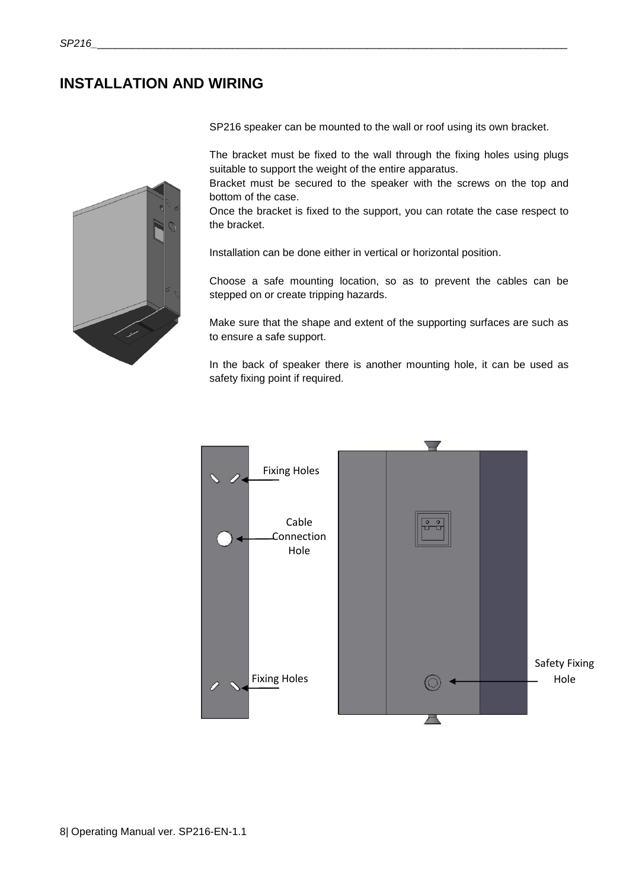### <span id="page-7-0"></span>**INSTALLATION AND WIRING**



SP216 speaker can be mounted to the wall or roof using its own bracket.

The bracket must be fixed to the wall through the fixing holes using plugs suitable to support the weight of the entire apparatus.

Bracket must be secured to the speaker with the screws on the top and bottom of the case.

Once the bracket is fixed to the support, you can rotate the case respect to the bracket.

Installation can be done either in vertical or horizontal position.

Choose a safe mounting location, so as to prevent the cables can be stepped on or create tripping hazards.

Make sure that the shape and extent of the supporting surfaces are such as to ensure a safe support.

In the back of speaker there is another mounting hole, it can be used as safety fixing point if required.

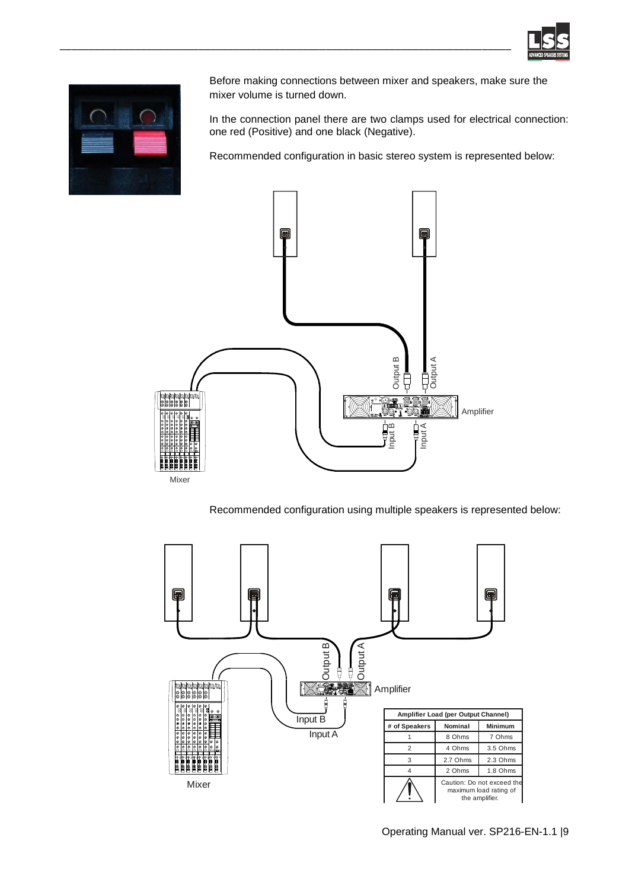



Before making connections between mixer and speakers, make sure the mixer volume is turned down.

In the connection panel there are two clamps used for electrical connection: one red (Positive) and one black (Negative).

Recommended configuration in basic stereo system is represented below:



\_\_\_\_\_\_\_\_\_\_\_\_\_\_\_\_\_\_\_\_\_\_\_\_\_\_\_\_\_\_\_\_\_\_\_\_\_\_\_\_\_\_\_\_\_\_\_\_\_\_\_\_\_\_\_\_\_\_\_\_\_\_\_\_\_\_\_\_\_\_\_\_\_\_\_\_\_\_

Recommended configuration using multiple speakers is represented below:

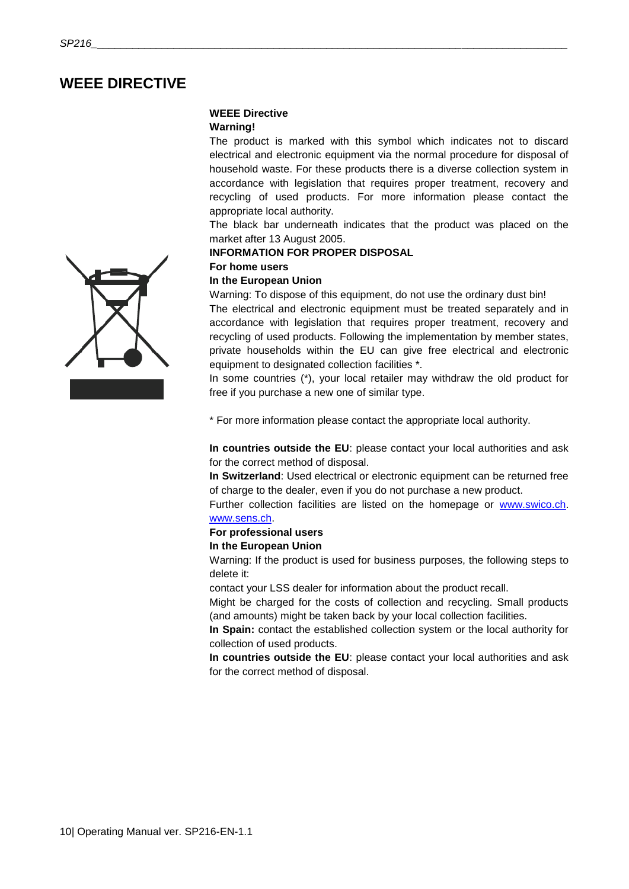### <span id="page-9-0"></span>**WEEE DIRECTIVE**

### **WEEE Directive**

#### **Warning!**

The product is marked with this symbol which indicates not to discard electrical and electronic equipment via the normal procedure for disposal of household waste. For these products there is a diverse collection system in accordance with legislation that requires proper treatment, recovery and recycling of used products. For more information please contact the appropriate local authority.

The black bar underneath indicates that the product was placed on the market after 13 August 2005.

#### **INFORMATION FOR PROPER DISPOSAL**

### **For home users**

### **In the European Union**

Warning: To dispose of this equipment, do not use the ordinary dust bin!

The electrical and electronic equipment must be treated separately and in accordance with legislation that requires proper treatment, recovery and recycling of used products. Following the implementation by member states, private households within the EU can give free electrical and electronic equipment to designated collection facilities \*.

In some countries (\*), your local retailer may withdraw the old product for free if you purchase a new one of similar type.

\* For more information please contact the appropriate local authority.

**In countries outside the EU**: please contact your local authorities and ask for the correct method of disposal.

**In Switzerland**: Used electrical or electronic equipment can be returned free of charge to the dealer, even if you do not purchase a new product.

Further collection facilities are listed on the homepage or [www.swico.ch.](http://www.swico.ch/) [www.sens.ch.](http://www.sens.ch/) 

### **For professional users**

#### **In the European Union**

Warning: If the product is used for business purposes, the following steps to delete it:

contact your LSS dealer for information about the product recall.

Might be charged for the costs of collection and recycling. Small products (and amounts) might be taken back by your local collection facilities.

**In Spain:** contact the established collection system or the local authority for collection of used products.

**In countries outside the EU**: please contact your local authorities and ask for the correct method of disposal.

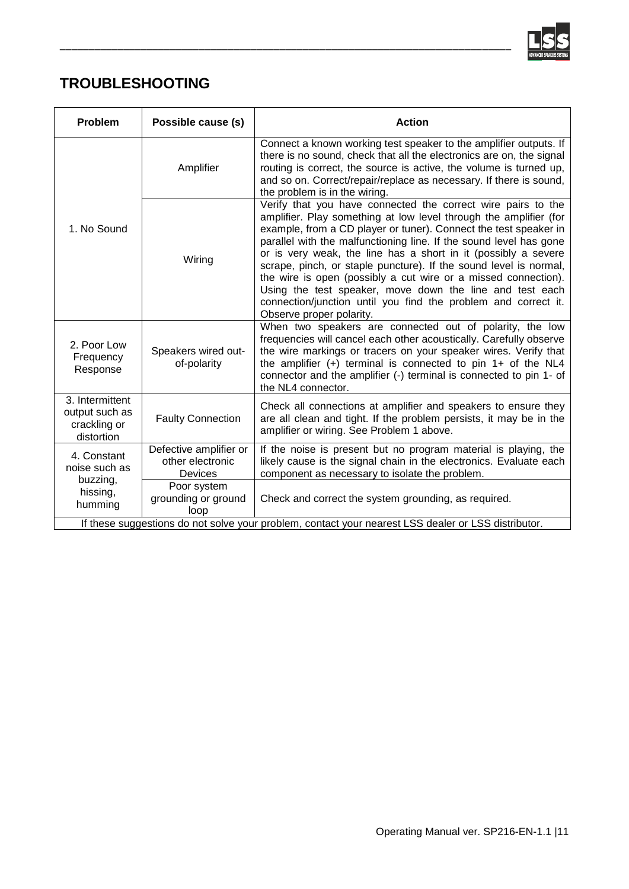

# <span id="page-10-0"></span>**TROUBLESHOOTING**

| Problem                                                                                             | Possible cause (s)                                           | <b>Action</b>                                                                                                                                                                                                                                                                                                                                                                                                                                                                                                                                                                                                                                  |  |  |
|-----------------------------------------------------------------------------------------------------|--------------------------------------------------------------|------------------------------------------------------------------------------------------------------------------------------------------------------------------------------------------------------------------------------------------------------------------------------------------------------------------------------------------------------------------------------------------------------------------------------------------------------------------------------------------------------------------------------------------------------------------------------------------------------------------------------------------------|--|--|
| 1. No Sound                                                                                         | Amplifier                                                    | Connect a known working test speaker to the amplifier outputs. If<br>there is no sound, check that all the electronics are on, the signal<br>routing is correct, the source is active, the volume is turned up,<br>and so on. Correct/repair/replace as necessary. If there is sound,<br>the problem is in the wiring.                                                                                                                                                                                                                                                                                                                         |  |  |
|                                                                                                     | Wiring                                                       | Verify that you have connected the correct wire pairs to the<br>amplifier. Play something at low level through the amplifier (for<br>example, from a CD player or tuner). Connect the test speaker in<br>parallel with the malfunctioning line. If the sound level has gone<br>or is very weak, the line has a short in it (possibly a severe<br>scrape, pinch, or staple puncture). If the sound level is normal,<br>the wire is open (possibly a cut wire or a missed connection).<br>Using the test speaker, move down the line and test each<br>connection/junction until you find the problem and correct it.<br>Observe proper polarity. |  |  |
| 2. Poor Low<br>Frequency<br>Response                                                                | Speakers wired out-<br>of-polarity                           | When two speakers are connected out of polarity, the low<br>frequencies will cancel each other acoustically. Carefully observe<br>the wire markings or tracers on your speaker wires. Verify that<br>the amplifier $(+)$ terminal is connected to pin 1+ of the NL4<br>connector and the amplifier (-) terminal is connected to pin 1- of<br>the NL4 connector.                                                                                                                                                                                                                                                                                |  |  |
| 3. Intermittent<br>output such as<br>crackling or<br>distortion                                     | <b>Faulty Connection</b>                                     | Check all connections at amplifier and speakers to ensure they<br>are all clean and tight. If the problem persists, it may be in the<br>amplifier or wiring. See Problem 1 above.                                                                                                                                                                                                                                                                                                                                                                                                                                                              |  |  |
| 4. Constant<br>noise such as<br>buzzing,<br>hissing,<br>humming                                     | Defective amplifier or<br>other electronic<br><b>Devices</b> | If the noise is present but no program material is playing, the<br>likely cause is the signal chain in the electronics. Evaluate each<br>component as necessary to isolate the problem.                                                                                                                                                                                                                                                                                                                                                                                                                                                        |  |  |
|                                                                                                     | Poor system<br>grounding or ground<br>loop                   | Check and correct the system grounding, as required.                                                                                                                                                                                                                                                                                                                                                                                                                                                                                                                                                                                           |  |  |
| If these suggestions do not solve your problem, contact your nearest LSS dealer or LSS distributor. |                                                              |                                                                                                                                                                                                                                                                                                                                                                                                                                                                                                                                                                                                                                                |  |  |

\_\_\_\_\_\_\_\_\_\_\_\_\_\_\_\_\_\_\_\_\_\_\_\_\_\_\_\_\_\_\_\_\_\_\_\_\_\_\_\_\_\_\_\_\_\_\_\_\_\_\_\_\_\_\_\_\_\_\_\_\_\_\_\_\_\_\_\_\_\_\_\_\_\_\_\_\_\_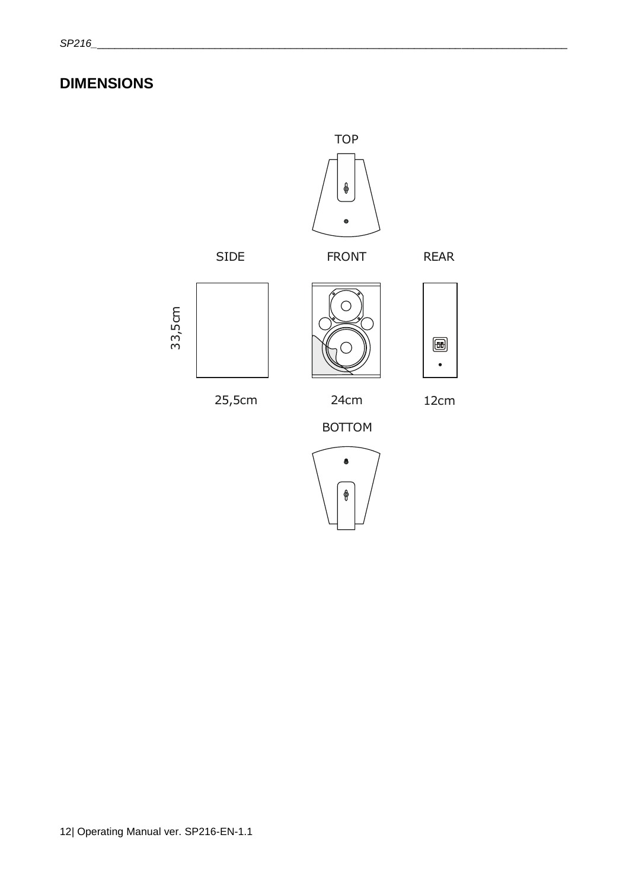# <span id="page-11-0"></span>**DIMENSIONS**

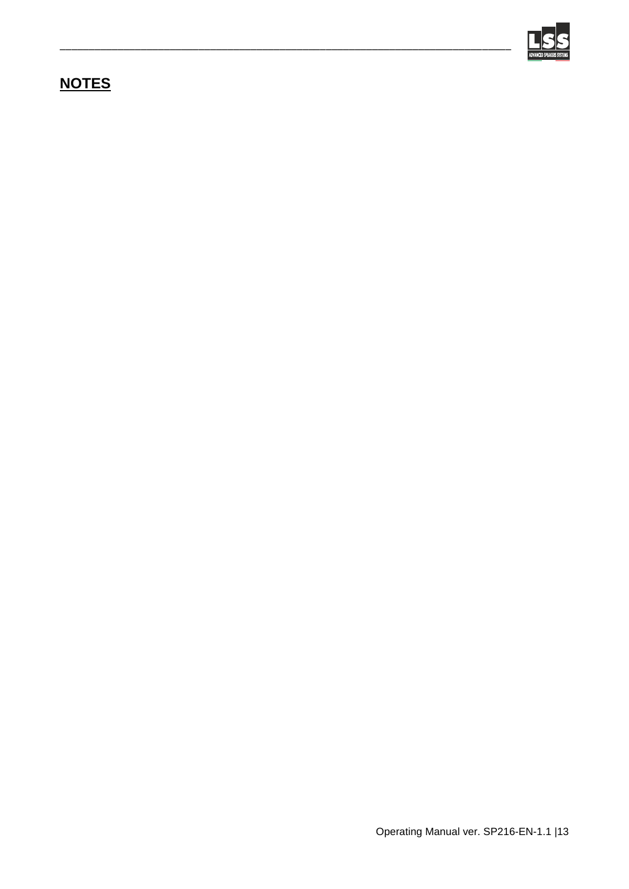

# <span id="page-12-0"></span>**NOTES**